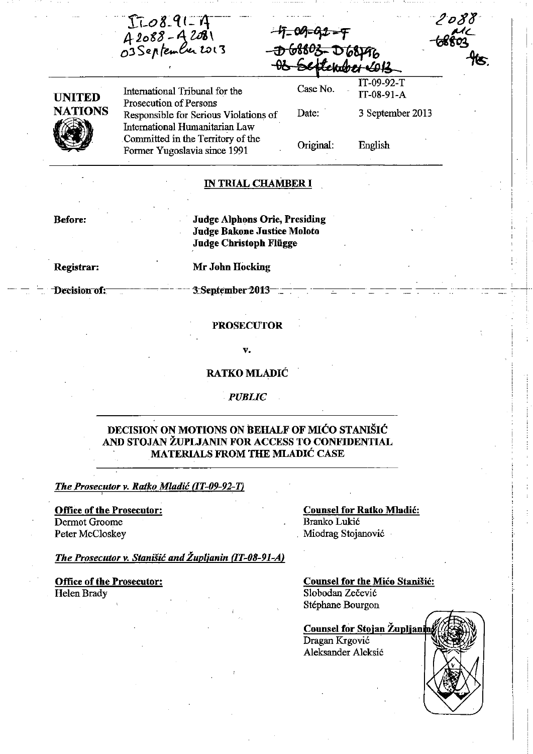$T1 - 08 - 91 - 14$ <br>A 2088 - A 2081<br>O3 September 2013

 $-47 - 09 - 92 - 9$ <del>D 68803-D 68196</del><br><del>08 Setlekber 10</del>13

Case No.

,

UNITED **NATIONS (1)** 

International Tribunal for the Prosecution of Persons Responsible for Serious Violations of International Humanitarian Law Committed in the Territory of the Former Yugoslavia since 1991

Date: Original: 3 September 2013 English

IT-09-92-T IT-08-91-A

### IN TRIAL CHAMBER I

Before:

Judge Alphons Orie, Presiding Judge Bakone Justice Moloto Judge Christoph Fliigge

Registrar:

Mr John Hocking

Decision of:

3: September 2013-

### **PROSECUTOR**

V.

RATKO MLADIĆ

*PUBLIC* 

### DECISION ON MOTIONS ON BEHALF OF MIĆO STANIŠIĆ AND STOJAN ŽUPLJANIN FOR ACCESS TO CONFIDENTIAL MATERIALS FROM THE MLADIĆ CASE

*The Prosecutor v. Ratko Mladić (IT-09-92-T)* 

Office of the Prosecutor: Dermot Groome Peter McCloskey

Counsel for Ratko Mladić: Branko Lukić . Miodrag Stojanović

*Ti,e Prosecutor v.* Stanišić *and Župljanin (lT-08-91-AJ* 

Office of the Prosecutor: Helen Brady

Counsel for the Mićo Stanišić: Slobodan Zečević Stéphane Bourgon

**Counsel for Stojan Župljanin** Dragan Krgović Aleksander Aleksić

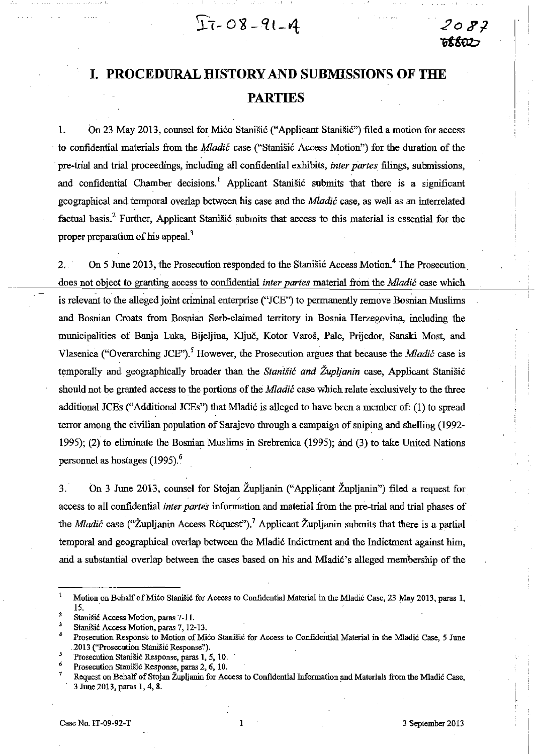$27-08-91-4$ 

# **I. PROCEDURAL HISTORY AND SUBMISSIONS OF THE PARTIES**

L On 23 May 2013, counsel for Mićo Stanišić ("Applicant Stanišić") filed a motion for access to confidential materials from the Mladić case ("Stanišić Access Motion") for the duration of the pre-trial and trial proceedings, including all confidential e:xbibits, *inter partes* filings, submissions, and confidential Chamber decisions.<sup>1</sup> Applicant Stanišić submits that there is a significant geographical and temporal overlap between his case and the *Mladić* case, as well as an interrelated factual basis.<sup>2</sup> Further, Applicant Stanišić submits that access to this material is essential for the proper preparation of his appeal.<sup>3</sup>

2. On 5 June 2013, the Prosecution responded to the Stanišić Access Motion.<sup>4</sup> The Prosecution does not object to granting access to confidential *inter partes* material from the *Mladić* case which is relevant to the alleged joint criminal enterprise ("JCE") to permanently remove Bosnian Muslims and Bosnian Croats from Bosnian Serb-claimed territory in Bosnia Herzegovina, including the municipalities of Banja Luka, Bijeljina, Ključ, Kotor Varoš, Pale, Prijedor, Sanski Most, and Vlasenica ("Overarching JCE").<sup>5</sup> However, the Prosecution argues that because the *Mladić* case is temporally and geographically broader than the Stanišić *and Župljanin* case, Applicant Stanišić should not be granted access to the portions of the *Mladić* case which relate exclusively to the three . additional JCEs ("Additional JCEs") that Mladić is alleged to have been a member of: (1) to spread terror among the civilian population of Sarajevo through a campaign of sniping and shelling (1992- 1995); (2) to eliminate the Bosnian Muslims in Srebrenica (1995); and (3) to take United Nations personnel as hostages (1995).<sup>6</sup>

3.· on 3 June 2013, counsel for Stojan Župljanin ("Applicant Župljanin") filed a request for. access to all confidential *inter partes* information and material from the pre-trial and trial phases of the *Mladić* case ("Župljanin Access Request").<sup>7</sup> Applicant Župljanin submits that there is a partial tempora! and geographical overIap between the Mladić Indictment and the Indictment against him, and a substantial over1ap between the cases based on his and Mladić's alleged membership of the

Motion on Behalf of Mićo Stanišić for Access to Confidential Material in the Mladić Case, 23 May 2013, paras 1, 15.

Stanišić Access Motion, paras 7-11.

<sup>3</sup>Stanišić Access Motion, paras 7, 12-13.

Prosecution Response to Motion of Mićo Stanišić for Access to Confidential Material in the Mladić Case, 5 June .2013 ("Prosecution Stanišić Response'.').

<sup>5</sup> Prosecution Stanišić Response, paras 1, 5, 10.

Prosecution Stanišić Response, paras 2, 6, 10.

<sup>7</sup> Request on Behalf of Stojan Župljanin for Access to Confidential Information and Materials from the Mladić Case, 3 June 2013, paras 1, 4, 8.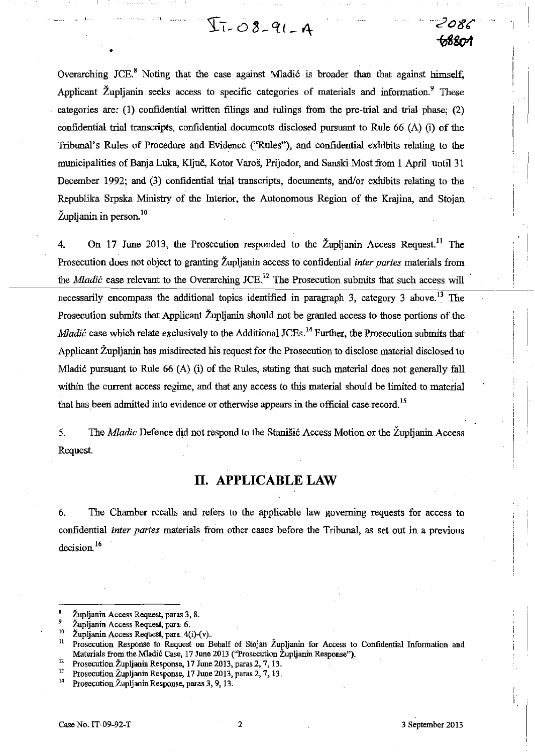Overarching JCE.<sup>8</sup> Noting that the case against Mladić is broader than that against himself, Applicant Župljanin seeks access to specific categories of materials and information.<sup>9</sup> These categories are: (1) confidential written filings and rulings from the pre-trial and trial phase; (2) confidential trial transcripts, confidential documents disclosed pursuant to Rule 66 (A) (i) of the Tribunal's Rules of Procedure and Evidence ("Rules"), and confidential exhibits relating to the municipalities of Banja Luka, Ključ, Kotor Varoš, Prijedor, and Sanski Most from 1 April until 31 December 1992; and (3) confidential trial transcripts, documents, and/or exhibits relating to the Republika Srpska Ministry of the Interior, the Autonomous Region of the Krajina, and Stojan  $\check{Z}$ upljanin in person.<sup>10</sup>

 $I - 08 - 91 - 4$ 

4. On 17 June 2013, the Prosecution responded to the Župljanin Access Request.<sup>11</sup> The Prosecution does not object to granting Župljanin access to confidential *inter partes* materials from the *Mladić* case relevant to the Overarching JCE.<sup>12</sup> The Prosecution submits that such access will necessarily encompass the additional topics identified in paragraph 3, category 3 above.<sup>13</sup> The Prosecution submits that Applicant Župljanin should not be granted access to those portions of the Mladić case which relate exclusively to the Additional JCEs.<sup>14</sup> Further, the Prosecution submits that Applicant Župljanin has misdirected his request for the Prosecution to disclose material disclosed to Mladić pursuant to Rule  $66$  (A) (i) of the Rules, stating that such material does not generally fall within the current access regime, and that any access to this material should be limited to material that has been admitted into evidence or otherwise appears in the official case record.<sup>15</sup>

5. The *Mladic* Defence did not respond to the Stanišić Access Motion or the Župljanin Access Request.

## **IT. APPLICABLE LAW**

6. The Chamber recalls and refers to the applicable law governing requests for access to confidential *inter partes* materials from other cases before the Tribunal, as set out in a previous decision.<sup>16</sup>

•

- <sup>12</sup> Prosecution Župljanin Response, 17 June 2013, paras 2, 7, 13.
- <sup>13</sup> Prosecution Župljanin Response, 17 June 2013, paras 2, 7, 13.<br><sup>14</sup> Prosecution Župljanin Response, paras 3, 9, 13.

 $\left| \cdot \right|$ 

*• --;2086'* 

*0S8ot1* 

Župljanin Access Request, paras 3, 8.

<sup>&</sup>lt;sup>9</sup> Župljanin Access Request, para. 6.<br><sup>10</sup> Župljanin Access Request, para. 40

<sup>&</sup>lt;sup>10</sup> Župljanin Access Request, para. 4(i)-(v).<br><sup>11</sup> Prosecution Bernanse to Bequest on E

Prosecution Response to Request on Behalf of Stojan Župljanin for Access to Confidential Information and Materials from the Mladić Case, 17 June 2013 ("Prosecution Župljanin Response").

Prosecution Župljanin Response, paras 3, 9, 13.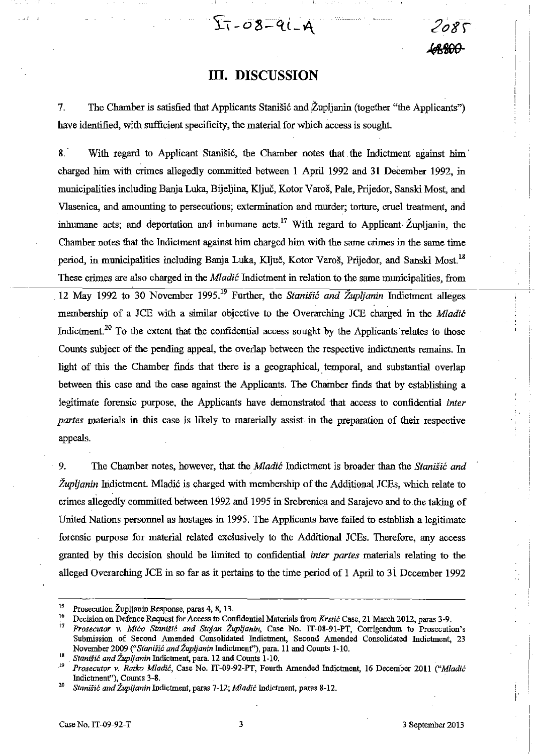## **~05000**

·2osr-

## **III. DISCUSSION**

 $T_{1 - 0} 8 - 91 - 9$ 

7. The Chamber is satisfied that Applicants Stanišić and Župljanin (together "the Applicants") have identified, with sufficient specificity, the material for which access is sought.

8. With regard to Applicant Stanišić, the Chamber notes that the Indictment against him charged him with crimes allegedly committed between l April 1992 and 31 December 1992, in municipalities including Banja Luka, Bijeljma, Ključ, Kotor Varoš, Pale, Prijedor, Sanski Most, and Vlasenica, and amounting to persecutions; extermination and murder; torture, cruel treatment, and inhumane acts; and deportation and inhumane acts.<sup>17</sup> With regard to Applicant Župljanin, the Chamber notes that the lndictment against him charged him with the same crimes in the same time period, in municipalities including Banja Luka, Ključ, Kotor Varoš, Prijedor, and Sanski Most.<sup>18</sup> These crimes are also charged in the *Mladić* Indictment in relation to the same municipalities, from 12 May 1992 to 30 November 1995.<sup>19</sup> Further, the Stanišić and Župljanin Indictment alleges membership of a JCE with a similar objective to the Overarching JCE charged in the Mladić Indictment.<sup>20</sup> To the extent that the confidential access sought by the Applicants relates to those Counts subject of the pending appeal, the overlap between the respective indictments remains. In light of this the Chamber finds that there is a geographical, temporal, and substantial overlap between this case and the case against the Applicants. The Chamber finds that by establishing a legitimate forensic purpose, the Applicants have demonstrated that access to confidential *inter partes* materials in this case is likely to materially assist. in the preparation of their respective appeals.

9. The Chamber notes, however, that the Mladić Indictment is broader than the Stanišić *and Župljanin* lndictment. Mladić is charged with membership of the Additional JCEs, which relate to crimes allegedly committed between 1992 and 1995 in Srebrenica and Sarajevo and to.the taking of United Nations personnel as hostages in 1995. The Applicants have failed to establish a legitimate forensic purpose for material related exclusively to the Additional JCEs. Therefore, any access granted by this decision should be limited to confidential *inter partes* materials relating to the alleged Overarching JCE in so far as it pertains to the time period of 1 April to 31 December 1992

<sup>&</sup>lt;sup>15</sup> Prosecution Župljanin Response, paras 4, 8, 13.

<sup>&</sup>lt;sup>16</sup> Decision on Defence Request for Access to Confidential Materials from Krstić Case, 21 March 2012, paras 3-9.<br><sup>17</sup> Prosecutor W. Mico, Stanišić, and Staign Župlicnin. Case No. J.T. 08-01 PT. Corrigandum, to Prosecution

**<sup>17</sup>***Prosecutor v.* Mićo Stanišić *and Stojan Župljanin,* **Case No\_ IT-08-91-PT, Corrigendum to Prosecution's**  Submission of Second Amended Consolidated Indictment, Second Amended Consolidated Indictment, 23 November 2009 ("Stanišić and Župljanin Indictment"), para. 11 and Counts 1-10.

<sup>&</sup>lt;sup>18</sup> Stanišić and Župljanin Indictment, para. 12 and Counts 1-10.<br><sup>19</sup> Presecutes v. Batha Madié. Case No. IT 00.02 PT. Fourth

*<sup>.19</sup> Prosecutor* v. *Rutko* Mladić, Case No. IT-09-92-PT, Fourth Amended Indictment, 16 December 2011 ("Mladić Indictment"), Counts 3-8.

<sup>&</sup>lt;sup>20</sup> Stanišić and Župljanin Indictment, paras 7-12; Mladić Indictment, paras 8-12.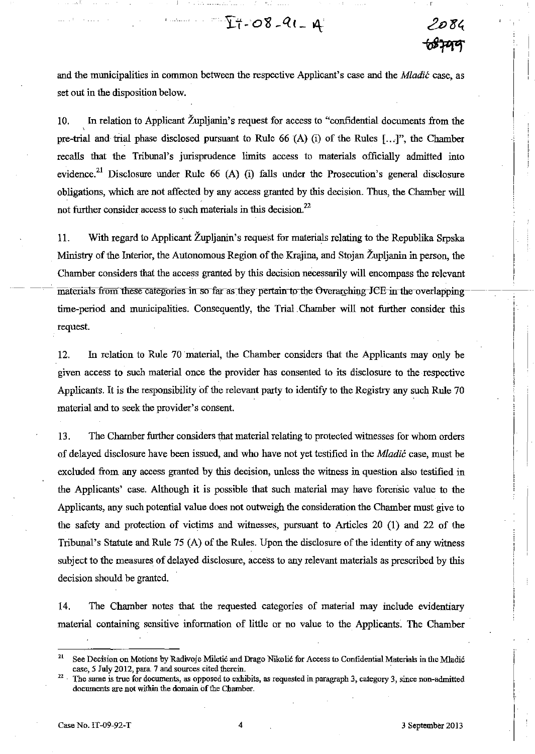and the municipalities in common between the respective Applicant's case and the *Mladić* case, as set out in the disposition below.

.........

10. In relation to Applicant Župljanin's request for access to "confidential documents from the pre-trial and trial phase disclosed pursuant to Rule 66 (A) (i) of the Rules  $[...]$ , the Chamber recalIs that the Tribunal's jurisprudence limits access to materials officially admitted into evidence.<sup>21</sup> Disclosure under Rule 66 (A) (i) falls under the Prosecution's general disclosure obligations, which are not affected by any access granted by this decision. Thus, the Chamber will not further consider access to such materials in this decision.<sup>22</sup>

11. With regard to Applicant Župljanin's request for materials relating to the Republika Srpska Ministry of the Interior, the Autonomous Region of the Krajina, and Stojan Župljanin in person, the Chamber considers that the access granted by this decision necessarily will encompass the relevant  $\overline{\text{materials}}$  from these categories in so far as they pertain to the Overarching-JCE in the overlappingtime-period and municipalities. Consequently, the Trial Chamber will not further consider this request

12. In relation to Rule 70 material, the Chamber considers that the Applicants may only be given access to such material once the provider has consented to its disclosure to the respective Applicants. It is the responsibility of the relevant party to identify to the Registry any such Rule 70 material and to seek the provider's consent.

13. The Chamber further considers that material relating to protected witnesses for whom orders of delayed disclosure have been issued, and who have not yet testified in the *Mladić* case, must be excluded from any access granted by this decision, unless the witness in question also testified in the Applicants' case. Although it is possible that such material may have forensic value to the Applicants, any such potential value does not outweigh the consideration the Chamber must give to the safety and protection of victims and witnesses, pursuant to Articles 20 (1) and 22 of the Tribunal's Statute and Rule 75 (A) of the Rules. Upon the disclosure of the identity of any witness subject to the measures of delayed disclosure, access to any relevant materials as prescribed by this decision should be granted.

14. The Chamber notes that the requested categories of material may include evidentiary material containing sensitive information of little or no value to the Applicants. The Chamber

<sup>&</sup>lt;sup>21</sup> See Decision on Motions by Radivoje Miletić and Drago Nikolić for Access to Confidential Materials in the Mladić case, 5 July 2012, para. 7 and sources cited therein.

<sup>&</sup>lt;sup>22</sup> The same is true for documents, as opposed to exhibits, as requested in paragraph 3, category 3, since non-admitted **documents are not within the domain of the Chamber.**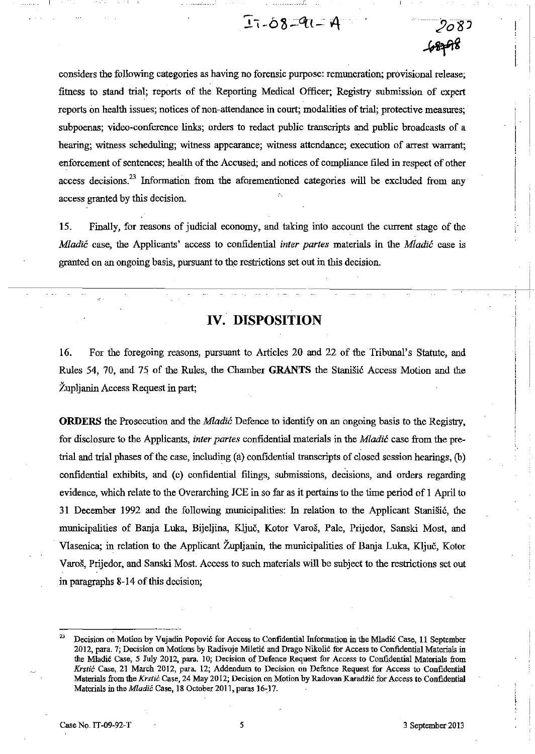# $I - 08 - 91 - 4$



15. Finally, for reasons of judicial economy, and taking into account the current stage of the Mladić case, the Applicants' access to confidential *inter partes* materials in the Mladić case is granted on an ongoing basis, pursuant to the restrictions set out in this decision.

## *N.* **DISPOSITION**

16. For the foregoing reasons, pursuant to Articles 20 and 22 of the Tribunal's Statute, and Rules 54, 70, and 75 of the Rules, the Chamber **GRANTS** the Stanišić Access Motion and the Župljanin Access Request in part;

**ORDERS** the Prosecution and the Mladić Defence to identify on an ongoing basis to the Registry, for disclosure to the Applicants, *inter partes* confidential materials in the Mladić case from the pretrial and trial phases of the case, including (a) confidential transcripts of closed session hearings, (b) confidential exhibits, and (c) confidential filings, submissions, decisions, and orders regarding evidence, which relate to the Overarching JCE in so far as it pertains to the time period of 1 April to 31 December 1992 and the following municipalities: In relation to the Applicant Stanišić, the municipalities of Banja Luka, Bijeljina, Ključ, Kotor Varoš, Pale, Prijedor, Sanski Most, and Vlasenica; in relation to the Applicant Župljanin, the municipalities of Banja Luka, Ključ, Kotor Varoš, Prijedor, and Sanski Most. Access to such materials will be subject to the restrictions set out in paragraphs 8-14 of this decision;

 $-2083$ 

<sup>&</sup>lt;sup>23</sup> Decision on Motion by Vujadin Popović for Access to Confidential Information in the Mladić Case, 11 September 2012, para, 7; Decision on Motions by Radivoje Miletić and Drago Nikolić for Access to Confidential Materials in the Mladić Case, 5 July 2012, para, 10; Decision of Defence Request for Access to Confidential Materials from Krstić Case, 21 March 2012, para. 12; Addendum to Decision on Defence Request for Access to Confidential Materials from the *Krstić* Case, 24 May 2012; Decision on Motion by Radovan Karadžić for Access to Confidential Materials in the *Mladić* Case, 18 October 2011, paras 16-17.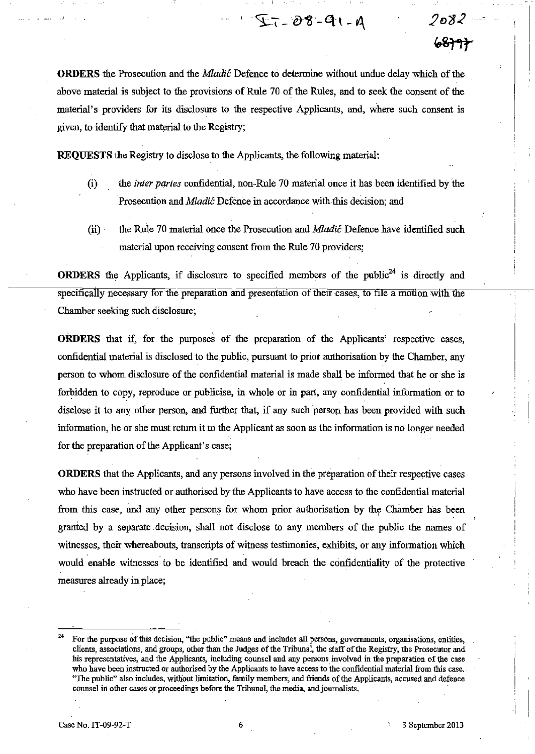**ORDERS** the Prosecution and the *Mladić* Defence to determine without undue delay which of the above material is subject to the provisions of Rule 70 of the Rules, and to seek the consent of the material's providers for its disclosure to the respective Applicants, and, where such consent is given, to identify that material to the Registry;

 $27 - 08 - 91 - 9$ 

**REQUESTS** the Registry to disclose to the Applicants, the following material:

- (i) the *inter partes* confidential, non-Rule 70 material once it has been identified by the Prosecution and Mladić Defence in accordance with this decision; and
- (ii) the Rule 70 material once the Prosecution and *Mladić* Defence have identified such material upon receiving consent from the Rule 70 providers;

**ORDERS** the Applicants, if disclosure to specified members of the public<sup>24</sup> is directly and specifically necessary for the preparation and presentation of their cases, to file a motion with the Chamber seeking such disclosure;

**ORDERS** that if, for the purposes of the preparation of the Applicants' respective cases, confidential material is disclosed to the public, pursuant to prior authorisation by the Chamber, any person to whom disclosure of the confidential material is made shall be infanned that he or she is forbidden to copy, reproduce or publicise, in whole or in part, any confidential infonnation or to disclose it to any other person, and further that, if any such person has been provided with such information, he or she must return it to the Applicant as soon as the information is no longer needed for the preparation of the Applicant's case;

**ORDERS** that the Applicants, and any persons involved in the preparation of their respective cases who have been instructed or authorised by the Applicants to have access to the confidential material from this case, and any other persons for whom prior authorisation by the Chamber has been granted by a separate, decision, shall not disclose to any members of the public the names of witnesses, their whereabouts, transcripts of witness testimonies, exhibits, or any information which would enable witnesses to be identified and would breach the confidentiality of the protective measures already in place;

*20"82-*

<del>ራ8}ግት</del>

<sup>&</sup>lt;sup>24</sup> For the purpose of this decision, "the public" means and includes all persons, governments, organisations, entities, clients, associations, and groups, other than the Judges of the Tribuoal, the staff of the Registry, the Prosecutor and his representatives, and the Applicants, including counsel and any persons involved in the preparation of (he case who have been instructed or authorised by the Applicants to have access to the confidential material from this case, "The public" also includes, without limitation, family members, and friends of the Applicants, accused and defence counsel in other cases or proceedings before the TribunaL the media, and journalists.